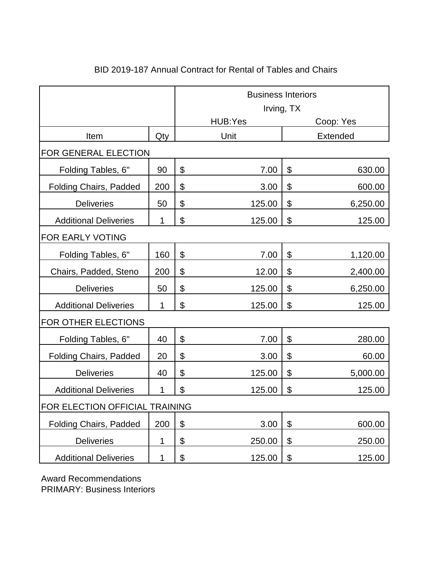|                                |              | <b>Business Interiors</b> |            |                |                 |  |  |
|--------------------------------|--------------|---------------------------|------------|----------------|-----------------|--|--|
|                                |              |                           | Irving, TX |                |                 |  |  |
|                                |              |                           | HUB:Yes    |                | Coop: Yes       |  |  |
| Item                           | Qty          |                           | Unit       |                | <b>Extended</b> |  |  |
| FOR GENERAL ELECTION           |              |                           |            |                |                 |  |  |
| Folding Tables, 6"             | 90           | \$                        | 7.00       | $\mathfrak{P}$ | 630.00          |  |  |
| <b>Folding Chairs, Padded</b>  | 200          | \$                        | 3.00       | \$             | 600.00          |  |  |
| <b>Deliveries</b>              | 50           | \$                        | 125.00     | \$             | 6,250.00        |  |  |
| <b>Additional Deliveries</b>   | 1            | $\boldsymbol{\mathsf{S}}$ | 125.00     | \$             | 125.00          |  |  |
| FOR EARLY VOTING               |              |                           |            |                |                 |  |  |
| Folding Tables, 6"             | 160          | \$                        | 7.00       | \$             | 1,120.00        |  |  |
| Chairs, Padded, Steno          | 200          | \$                        | 12.00      | $\mathfrak{L}$ | 2,400.00        |  |  |
| <b>Deliveries</b>              | 50           | \$                        | 125.00     | \$             | 6,250.00        |  |  |
| <b>Additional Deliveries</b>   | $\mathbf{1}$ | \$                        | 125.00     | \$             | 125.00          |  |  |
| FOR OTHER ELECTIONS            |              |                           |            |                |                 |  |  |
| Folding Tables, 6"             | 40           | \$                        | 7.00       | \$             | 280.00          |  |  |
| <b>Folding Chairs, Padded</b>  | 20           | \$                        | 3.00       | \$             | 60.00           |  |  |
| <b>Deliveries</b>              | 40           | \$                        | 125.00     | $\mathfrak{L}$ | 5,000.00        |  |  |
| <b>Additional Deliveries</b>   | 1            | \$                        | 125.00     | \$             | 125.00          |  |  |
| FOR ELECTION OFFICIAL TRAINING |              |                           |            |                |                 |  |  |
| <b>Folding Chairs, Padded</b>  | 200          | \$                        | 3.00       | $\mathfrak{L}$ | 600.00          |  |  |
| <b>Deliveries</b>              | 1            | \$                        | 250.00     | \$             | 250.00          |  |  |
| <b>Additional Deliveries</b>   | 1            | \$                        | 125.00     | \$             | 125.00          |  |  |

## BID 2019-187 Annual Contract for Rental of Tables and Chairs

Award Recommendations PRIMARY: Business Interiors